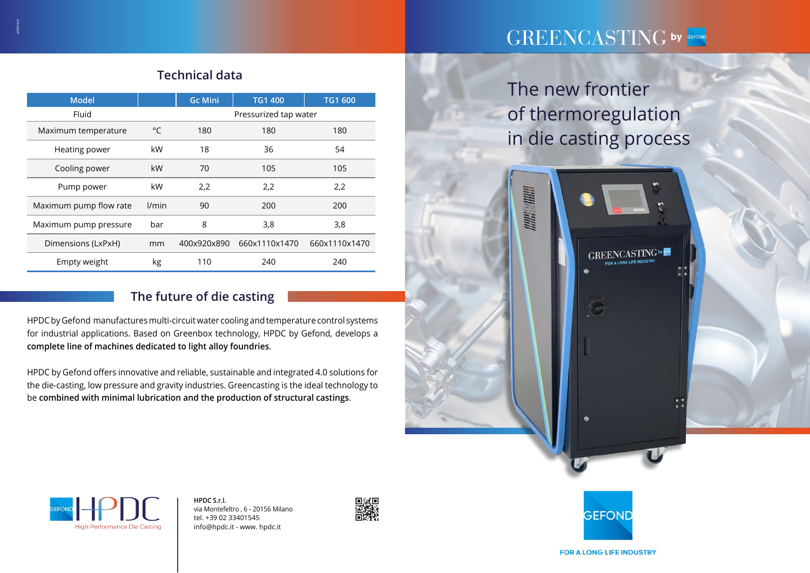# GREENCASTING by GEFOND

**GREENCASTING**by

The new frontier of thermoregulation in die casting process

**MINISUMIN** 



| <b>Model</b>           |              | <b>Gc Mini</b>        | <b>TG1 400</b> | <b>TG1 600</b> |  |
|------------------------|--------------|-----------------------|----------------|----------------|--|
| Fluid                  |              | Pressurized tap water |                |                |  |
| Maximum temperature    | $^{\circ}$ C | 180                   | 180            | 180            |  |
| Heating power          | kW           | 18                    | 36             | 54             |  |
| Cooling power          | kW           | 70                    | 105            | 105            |  |
| Pump power             | kW           | 2,2                   | 2,2            | 2,2            |  |
| Maximum pump flow rate | l/min        | 90                    | 200            | 200            |  |
| Maximum pump pressure  | bar          | 8                     | 3,8            | 3,8            |  |
| Dimensions (LxPxH)     | mm           | 400x920x890           | 660x1110x1470  | 660x1110x1470  |  |
| Empty weight           | kg           | 110                   | 240            | 240            |  |

### **The future of die casting**

HPDC by Gefond manufactures multi-circuit water cooling and temperature control systems for industrial applications. Based on Greenbox technology, HPDC by Gefond, develops a **complete line of machines dedicated to light alloy foundries**.

HPDC by Gefond offers innovative and reliable, sustainable and integrated 4.0 solutions for the die-casting, low pressure and gravity industries. Greencasting is the ideal technology to be **combined with minimal lubrication and the production of structural castings**.

## **Technical data**

**HPDC S.r.l.**  via Montefeltro , 6 - 20156 Milano tel. +39 02 33401545 info@hpdc.it - www. hpdc.it